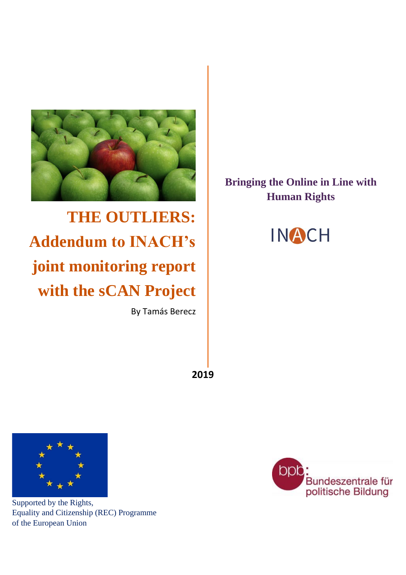

**THE OUTLIERS: Addendum to INACH's joint monitoring report with the sCAN Project**

By Tamás Berecz

# **Bringing the Online in Line with Human Rights**



**2019**



Supported by the Rights, Equality and Citizenship (REC) Programme of the European Union

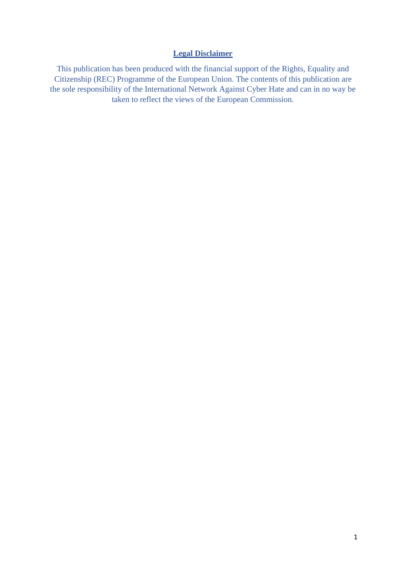#### **Legal Disclaimer**

This publication has been produced with the financial support of the Rights, Equality and Citizenship (REC) Programme of the European Union. The contents of this publication are the sole responsibility of the International Network Against Cyber Hate and can in no way be taken to reflect the views of the European Commission.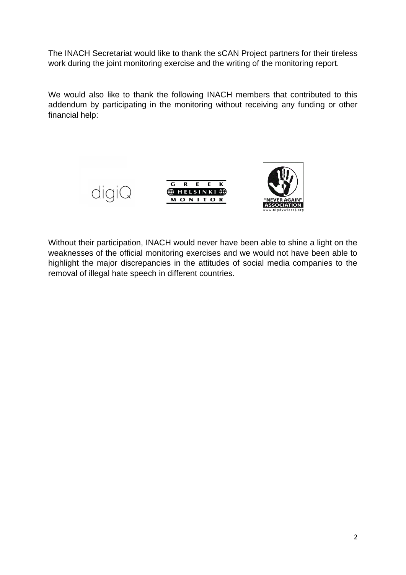The INACH Secretariat would like to thank the sCAN Project partners for their tireless work during the joint monitoring exercise and the writing of the monitoring report.

We would also like to thank the following INACH members that contributed to this addendum by participating in the monitoring without receiving any funding or other financial help:





Without their participation, INACH would never have been able to shine a light on the weaknesses of the official monitoring exercises and we would not have been able to highlight the major discrepancies in the attitudes of social media companies to the removal of illegal hate speech in different countries.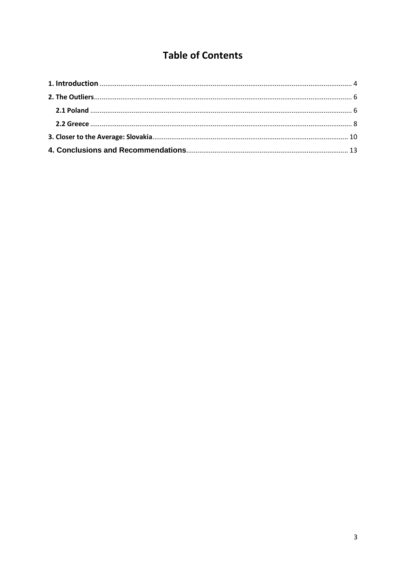## **Table of Contents**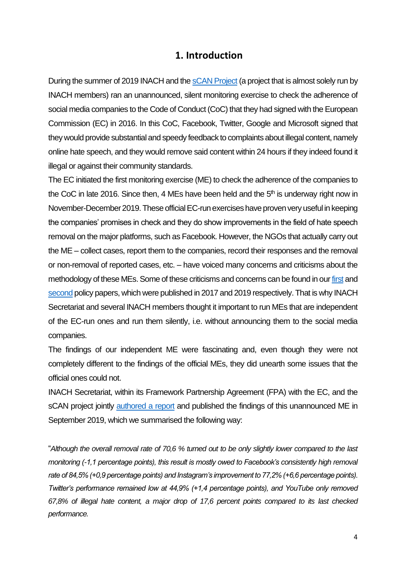#### **1. Introduction**

<span id="page-4-0"></span>During the summer of 2019 INACH and the [sCAN Project](http://scan-project.eu/project/) (a project that is almost solely run by INACH members) ran an unannounced, silent monitoring exercise to check the adherence of social media companies to the Code of Conduct (CoC) that they had signed with the European Commission (EC) in 2016. In this CoC, Facebook, Twitter, Google and Microsoft signed that they would provide substantial and speedy feedback to complaints about illegal content, namely online hate speech, and they would remove said content within 24 hours if they indeed found it illegal or against their community standards.

The EC initiated the first monitoring exercise (ME) to check the adherence of the companies to the CoC in late 2016. Since then, 4 MEs have been held and the  $5<sup>th</sup>$  is underway right now in November-December 2019. These official EC-run exercises have proven very useful in keeping the companies' promises in check and they do show improvements in the field of hate speech removal on the major platforms, such as Facebook. However, the NGOs that actually carry out the ME – collect cases, report them to the companies, record their responses and the removal or non-removal of reported cases, etc. – have voiced many concerns and criticisms about the methodology of these MEs. Some of these criticisms and concerns can be found in ou[r first](http://test.inachbase.net/wp-content/uploads/Policy_Recommendations_to_Combat_Cyber_Hate.pdf) and [second](http://www.inach.net/wp-content/uploads/The_State_of-_Policy_on_Cyber_Hate_in_the_EU_full_final.pdf) policy papers, which were published in 2017 and 2019 respectively. That is why INACH Secretariat and several INACH members thought it important to run MEs that are independent of the EC-run ones and run them silently, i.e. without announcing them to the social media companies.

The findings of our independent ME were fascinating and, even though they were not completely different to the findings of the official MEs, they did unearth some issues that the official ones could not.

INACH Secretariat, within its Framework Partnership Agreement (FPA) with the EC, and the sCAN project jointly [authored a report](http://www.inach.net/wp-content/uploads/sCAN_INACH_monitoring-report_final.pdf) and published the findings of this unannounced ME in September 2019, which we summarised the following way:

"*Although the overall removal rate of 70,6 % turned out to be only slightly lower compared to the last monitoring (-1,1 percentage points), this result is mostly owed to Facebook's consistently high removal rate of 84,5% (+0,9 percentage points) and Instagram's improvement to 77,2% (+6,6 percentage points). Twitter's performance remained low at 44,9% (+1,4 percentage points), and YouTube only removed 67,8% of illegal hate content, a major drop of 17,6 percent points compared to its last checked performance.*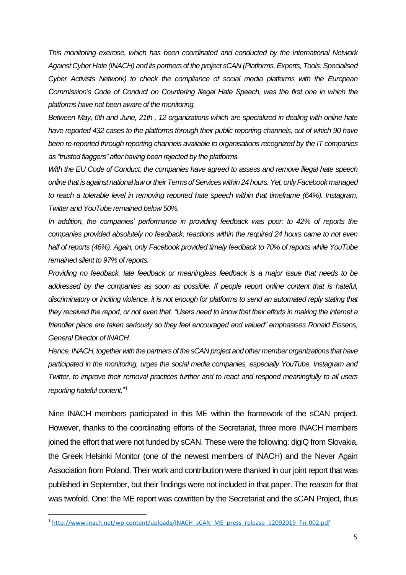*This monitoring exercise, which has been coordinated and conducted by the International Network Against Cyber Hate (INACH) and its partners of the project sCAN (Platforms, Experts, Tools: Specialised Cyber Activists Network) to check the compliance of social media platforms with the European Commission's Code of Conduct on Countering Illegal Hate Speech, was the first one in which the platforms have not been aware of the monitoring.* 

*Between May, 6th and June, 21th , 12 organizations which are specialized in dealing with online hate have reported 432 cases to the platforms through their public reporting channels, out of which 90 have been re-reported through reporting channels available to organisations recognized by the IT companies as "trusted flaggers" after having been rejected by the platforms.* 

*With the EU Code of Conduct, the companies have agreed to assess and remove illegal hate speech online that is against national law ortheir Terms of Services within 24 hours. Yet, only Facebook managed to reach a tolerable level in removing reported hate speech within that timeframe (64%). Instagram, Twitter and YouTube remained below 50%.* 

*In addition, the companies' performance in providing feedback was poor: to 42% of reports the companies provided absolutely no feedback, reactions within the required 24 hours came to not even half of reports (46%). Again, only Facebook provided timely feedback to 70% of reports while YouTube remained silent to 97% of reports.* 

*Providing no feedback, late feedback or meaningless feedback is a major issue that needs to be addressed by the companies as soon as possible. If people report online content that is hateful, discriminatory or inciting violence, it is not enough for platforms to send an automated reply stating that they received the report, or not even that. "Users need to know that their efforts in making the internet a friendlier place are taken seriously so they feel encouraged and valued" emphasises Ronald Eissens, General Director of INACH.*

*Hence, INACH, together with the partners of the sCAN project and other member organizations that have participated in the monitoring, urges the social media companies, especially YouTube, Instagram and Twitter, to improve their removal practices further and to react and respond meaningfully to all users reporting hateful content.*" 1

Nine INACH members participated in this ME within the framework of the sCAN project. However, thanks to the coordinating efforts of the Secretariat, three more INACH members joined the effort that were not funded by sCAN. These were the following: digiQ from Slovakia, the Greek Helsinki Monitor (one of the newest members of INACH) and the Never Again Association from Poland. Their work and contribution were thanked in our joint report that was published in September, but their findings were not included in that paper. The reason for that was twofold. One: the ME report was cowritten by the Secretariat and the sCAN Project, thus

<sup>1</sup> [http://www.inach.net/wp-content/uploads/INACH\\_sCAN\\_ME\\_press\\_release\\_12092019\\_fin-002.pdf](http://www.inach.net/wp-content/uploads/INACH_sCAN_ME_press_release_12092019_fin-002.pdf)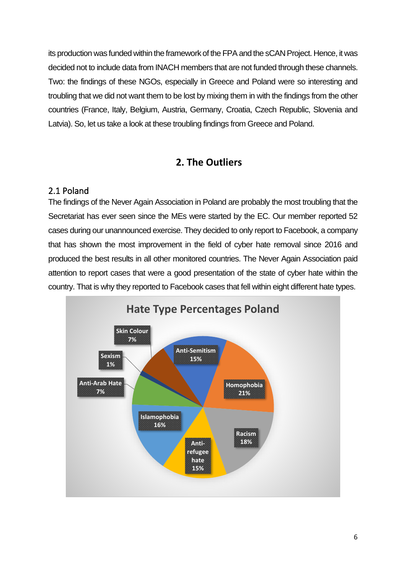its production was funded within the framework of the FPA and the sCAN Project. Hence, it was decided not to include data from INACH members that are not funded through these channels. Two: the findings of these NGOs, especially in Greece and Poland were so interesting and troubling that we did not want them to be lost by mixing them in with the findings from the other countries (France, Italy, Belgium, Austria, Germany, Croatia, Czech Republic, Slovenia and Latvia). So, let us take a look at these troubling findings from Greece and Poland.

### **2. The Outliers**

#### <span id="page-6-1"></span><span id="page-6-0"></span>2.1 Poland

The findings of the Never Again Association in Poland are probably the most troubling that the Secretariat has ever seen since the MEs were started by the EC. Our member reported 52 cases during our unannounced exercise. They decided to only report to Facebook, a company that has shown the most improvement in the field of cyber hate removal since 2016 and produced the best results in all other monitored countries. The Never Again Association paid attention to report cases that were a good presentation of the state of cyber hate within the country. That is why they reported to Facebook cases that fell within eight different hate types.

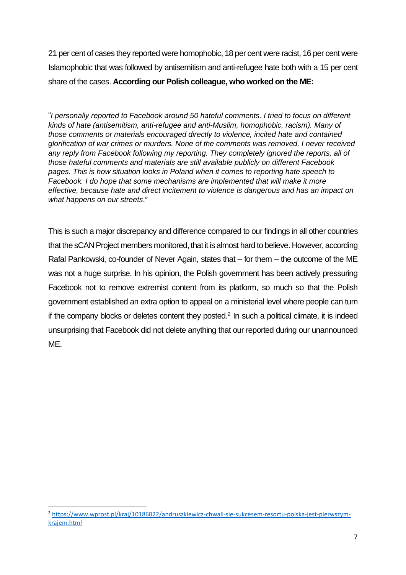21 per cent of cases they reported were homophobic, 18 per cent were racist, 16 per cent were Islamophobic that was followed by antisemitism and anti-refugee hate both with a 15 per cent share of the cases. **According our Polish colleague, who worked on the ME:**

"*I personally reported to Facebook around 50 hateful comments. I tried to focus on different kinds of hate (antisemitism, anti-refugee and anti-Muslim, homophobic, racism). Many of those comments or materials encouraged directly to violence, incited hate and contained glorification of war crimes or murders. None of the comments was removed. I never received any reply from Facebook following my reporting. They completely ignored the reports, all of those hateful comments and materials are still available publicly on different Facebook pages. This is how situation looks in Poland when it comes to reporting hate speech to Facebook. I do hope that some mechanisms are implemented that will make it more effective, because hate and direct incitement to violence is dangerous and has an impact on what happens on our streets*."

This is such a major discrepancy and difference compared to our findings in all other countries that the sCAN Project members monitored, that it is almost hard to believe. However, according Rafal Pankowski, co-founder of Never Again, states that – for them – the outcome of the ME was not a huge surprise. In his opinion, the Polish government has been actively pressuring Facebook not to remove extremist content from its platform, so much so that the Polish government established an extra option to appeal on a ministerial level where people can turn if the company blocks or deletes content they posted.<sup>2</sup> In such a political climate, it is indeed unsurprising that Facebook did not delete anything that our reported during our unannounced ME.

<sup>2</sup> [https://www.wprost.pl/kraj/10186022/andruszkiewicz-chwali-sie-sukcesem-resortu-polska-jest-pierwszym](https://www.wprost.pl/kraj/10186022/andruszkiewicz-chwali-sie-sukcesem-resortu-polska-jest-pierwszym-krajem.html)[krajem.html](https://www.wprost.pl/kraj/10186022/andruszkiewicz-chwali-sie-sukcesem-resortu-polska-jest-pierwszym-krajem.html)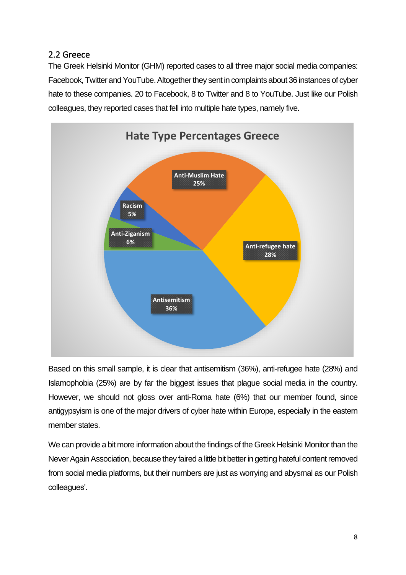#### <span id="page-8-0"></span>2.2 Greece

The Greek Helsinki Monitor (GHM) reported cases to all three major social media companies: Facebook, Twitter and YouTube. Altogether they sent in complaints about 36 instances of cyber hate to these companies. 20 to Facebook, 8 to Twitter and 8 to YouTube. Just like our Polish colleagues, they reported cases that fell into multiple hate types, namely five.



Based on this small sample, it is clear that antisemitism (36%), anti-refugee hate (28%) and Islamophobia (25%) are by far the biggest issues that plague social media in the country. However, we should not gloss over anti-Roma hate (6%) that our member found, since antigypsyism is one of the major drivers of cyber hate within Europe, especially in the eastern member states.

We can provide a bit more information about the findings of the Greek Helsinki Monitor than the Never Again Association, because they faired a little bit better in getting hateful content removed from social media platforms, but their numbers are just as worrying and abysmal as our Polish colleagues'.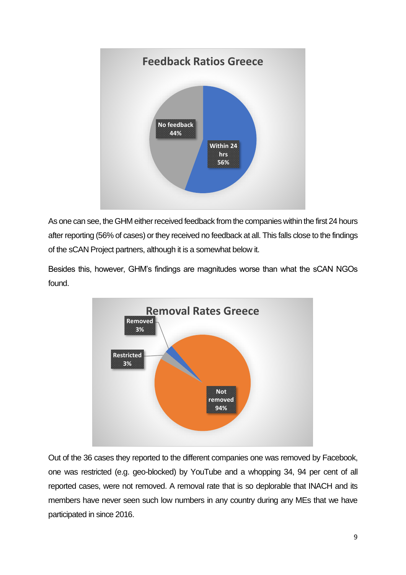

As one can see, the GHM either received feedback from the companies within the first 24 hours after reporting (56% of cases) or they received no feedback at all. This falls close to the findings of the sCAN Project partners, although it is a somewhat below it.

Besides this, however, GHM's findings are magnitudes worse than what the sCAN NGOs found.



Out of the 36 cases they reported to the different companies one was removed by Facebook, one was restricted (e.g. geo-blocked) by YouTube and a whopping 34, 94 per cent of all reported cases, were not removed. A removal rate that is so deplorable that INACH and its members have never seen such low numbers in any country during any MEs that we have participated in since 2016.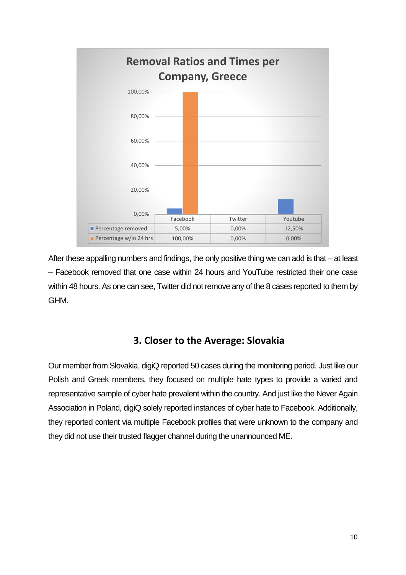

After these appalling numbers and findings, the only positive thing we can add is that – at least – Facebook removed that one case within 24 hours and YouTube restricted their one case within 48 hours. As one can see, Twitter did not remove any of the 8 cases reported to them by GHM.

#### **3. Closer to the Average: Slovakia**

<span id="page-10-0"></span>Our member from Slovakia, digiQ reported 50 cases during the monitoring period. Just like our Polish and Greek members, they focused on multiple hate types to provide a varied and representative sample of cyber hate prevalent within the country. And just like the Never Again Association in Poland, digiQ solely reported instances of cyber hate to Facebook. Additionally, they reported content via multiple Facebook profiles that were unknown to the company and they did not use their trusted flagger channel during the unannounced ME.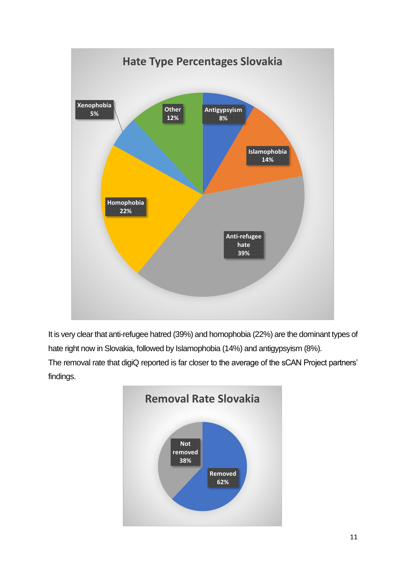

It is very clear that anti-refugee hatred (39%) and homophobia (22%) are the dominant types of hate right now in Slovakia, followed by Islamophobia (14%) and antigypsyism (8%).

The removal rate that digiQ reported is far closer to the average of the sCAN Project partners' findings.

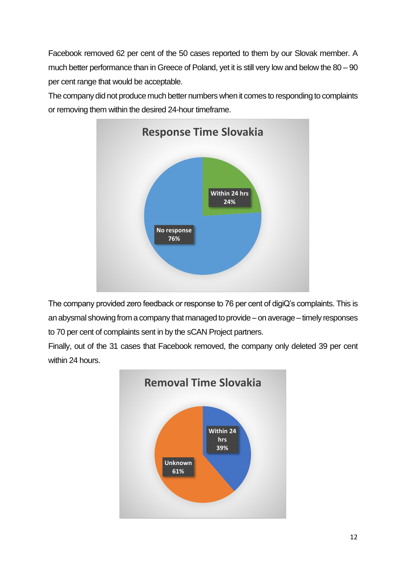Facebook removed 62 per cent of the 50 cases reported to them by our Slovak member. A much better performance than in Greece of Poland, yet it is still very low and below the 80 – 90 per cent range that would be acceptable.

The company did not produce much better numbers when it comes to responding to complaints or removing them within the desired 24-hour timeframe.



The company provided zero feedback or response to 76 per cent of digiQ's complaints. This is an abysmal showing from a company that managed to provide – on average – timely responses to 70 per cent of complaints sent in by the sCAN Project partners.

Finally, out of the 31 cases that Facebook removed, the company only deleted 39 per cent within 24 hours.

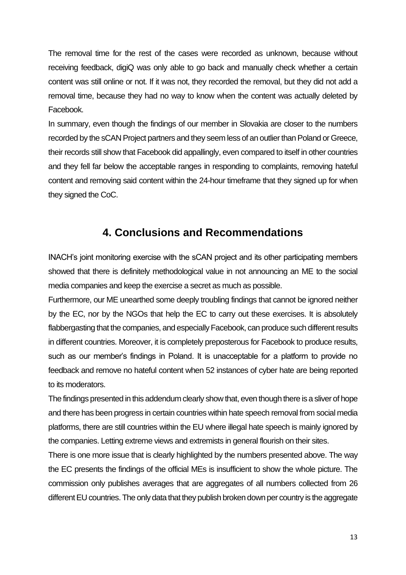The removal time for the rest of the cases were recorded as unknown, because without receiving feedback, digiQ was only able to go back and manually check whether a certain content was still online or not. If it was not, they recorded the removal, but they did not add a removal time, because they had no way to know when the content was actually deleted by Facebook.

In summary, even though the findings of our member in Slovakia are closer to the numbers recorded by the sCAN Project partners and they seem less of an outlier than Poland or Greece, their records still show that Facebook did appallingly, even compared to itself in other countries and they fell far below the acceptable ranges in responding to complaints, removing hateful content and removing said content within the 24-hour timeframe that they signed up for when they signed the CoC.

## **4. Conclusions and Recommendations**

<span id="page-13-0"></span>INACH's joint monitoring exercise with the sCAN project and its other participating members showed that there is definitely methodological value in not announcing an ME to the social media companies and keep the exercise a secret as much as possible.

Furthermore, our ME unearthed some deeply troubling findings that cannot be ignored neither by the EC, nor by the NGOs that help the EC to carry out these exercises. It is absolutely flabbergasting that the companies, and especially Facebook, can produce such different results in different countries. Moreover, it is completely preposterous for Facebook to produce results, such as our member's findings in Poland. It is unacceptable for a platform to provide no feedback and remove no hateful content when 52 instances of cyber hate are being reported to its moderators.

The findings presented in this addendum clearly show that, even though there is a sliver of hope and there has been progress in certain countries within hate speech removal from social media platforms, there are still countries within the EU where illegal hate speech is mainly ignored by the companies. Letting extreme views and extremists in general flourish on their sites.

There is one more issue that is clearly highlighted by the numbers presented above. The way the EC presents the findings of the official MEs is insufficient to show the whole picture. The commission only publishes averages that are aggregates of all numbers collected from 26 different EU countries. The only data that they publish broken down per country is the aggregate